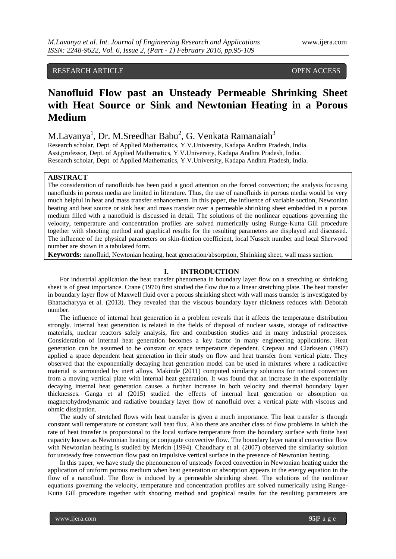## RESEARCH ARTICLE OPEN ACCESS

# **Nanofluid Flow past an Unsteady Permeable Shrinking Sheet with Heat Source or Sink and Newtonian Heating in a Porous Medium**

M.Lavanya<sup>1</sup>, Dr. M.Sreedhar Babu<sup>2</sup>, G. Venkata Ramanaiah<sup>3</sup>

Research scholar, Dept. of Applied Mathematics, Y.V.University, Kadapa Andhra Pradesh, India. Asst.professor, Dept. of Applied Mathematics, Y.V.University, Kadapa Andhra Pradesh, India. Research scholar, Dept. of Applied Mathematics, Y.V.University, Kadapa Andhra Pradesh, India.

### **ABSTRACT**

The consideration of nanofluids has been paid a good attention on the forced convection; the analysis focusing nanofluids in porous media are limited in literature. Thus, the use of nanofluids in porous media would be very much helpful in heat and mass transfer enhancement. In this paper, the influence of variable suction, Newtonian heating and heat source or sink heat and mass transfer over a permeable shrinking sheet embedded in a porous medium filled with a nanofluid is discussed in detail. The solutions of the nonlinear equations governing the velocɨty, temperature and concentration profiles are solved numerically using Runge-Kutta Gill procedure together with shooting method and graphical results for the resulting parameters are displayed and discussed. The influence of the physical parameters on skin-friction coefficient, local Nusselt number and local Sherwood number are shown in a tabulated form.

**Keywords:** nanofluid, Newtonian heating, heat generation/absorption, Shrinking sheet, wall mass suction.

#### **I. INTRODUCTION**

For industrial application the heat transfer phenomena in boundary layer flow on a stretching or shrinking sheet is of great importance. Crane (1970) first studied the flow due to a linear stretching plate. The heat transfer in boundary layer flow of Maxwell fluid over a porous shrinking sheet with wall mass transfer is investigated by Bhattacharyya et al. (2013). They revealed that the viscous boundary layer thickness reduces with Deborah number.

The influence of internal heat generation in a problem reveals that it affects the temperature distribution strongly. Internal heat generation is related in the fields of disposal of nuclear waste, storage of radioactive materials, nuclear reactors safely analysis, fire and combustion studies and in many industrial processes. Consideration of internal heat generation becomes a key factor in many engineering applications. Heat generation can be assumed to be constant or space temperature dependent. Crepeau and Clarksean (1997) applied a space dependent heat generation in their study on flow and heat transfer from vertical plate. They observed that the exponentially decaying heat generation model can be used in mixtures where a radioactive material is surrounded by inert alloys. Makinde (2011) computed similarity solutions for natural convection from a moving vertical plate with internal heat generation. It was found that an increase in the exponentially decaying internal heat generation causes a further increase in both velocity and thermal boundary layer thicknesses. Ganga et al (2015) studied the effects of internal heat generation or absorption on magnetohydrodynamic and radiative boundary layer flow of nanofluid over a vertical plate with viscous and ohmic dissipation.

The study of stretched flows with heat transfer is given a much importance. The heat transfer is through constant wall temperature or constant wall heat flux. Also there are another class of flow problems in which the rate of heat transfer is proporsional to the local surface temperature from the boundary surface with finite heat capacity known as Newtonian heating or conjugate convective flow. The boundary layer natural convective flow with Newtonian heating is studied by Merkin (1994). Chaudhary et al. (2007) observed the similarity solution for unsteady free convection flow past on impulsive vertical surface in the presence of Newtonian heating.

In this paper, we have study the phenomenon of unsteady forced convection in Newtonian heating under the application of uniform porous medium when heat generation or absorption appears in the energy equation in the flow of a nanofluid. The flow is induced by a permeable shrinking sheet. The solutions of the nonlinear equations governing the velocity, temperature and concentration profiles are solved numerically using Runge-Kutta Gill procedure together with shooting method and graphical results for the resulting parameters are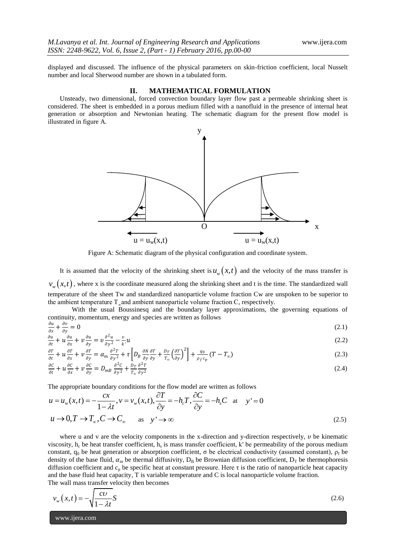displayed and discussed. The influence of the physical parameters on skin-friction coefficient, local Nusselt number and local Sherwood number are shown in a tabulated form.

#### **II. MATHEMATICAL FORMULATION**

Unsteady, two dimensional, forced convection boundary layer flow past a permeable shrinking sheet is considered. The sheet is embedded in a porous medium filled with a nanofluid in the presence of internal heat generation or absorption and Newtonian heating. The schematic diagram for the present flow model is illustrated in figure A.



Figure A: Schematic diagram of the physical configuration and coordinate system.

It is assumed that the velocity of the shrinking sheet is  $u_{w}(x,t)$  and the velocity of the mass transfer is  $v_w(x,t)$ , where x is the coordinate measured along the shrinking sheet and t is the time. The standardized wall temperature of the sheet Tw and standardized nanoparticle volume fraction Cw are unspoken to be superior to the ambient temperature  $T$  and ambient nanoparticle volume fraction  $C$ , respectively.

With the usual Boussinesq and the boundary layer approximations, the governing equations of continuity, momentum, energy and species are written as follows

$$
\frac{\partial u}{\partial x} + \frac{\partial v}{\partial y} = 0 \tag{2.1}
$$

$$
\frac{\partial u}{\partial t} + u \frac{\partial u}{\partial x} + v \frac{\partial u}{\partial y} = v \frac{\partial^2 u}{\partial y^2} - \frac{v}{k'} u
$$
\n(2.2)

$$
\frac{\partial T}{\partial t} + u \frac{\partial T}{\partial x} + v \frac{\partial T}{\partial y} = \alpha_m \frac{\partial^2 T}{\partial y^2} + \tau \left[ D_B \frac{\partial N}{\partial y} \frac{\partial T}{\partial y} + \frac{D_T}{T_{\infty}} \left( \frac{\partial T}{\partial y} \right)^2 \right] + \frac{q_0}{\rho_f c_p} (T - T_{\infty})
$$
(2.3)

$$
\frac{\partial C}{\partial t} + u \frac{\partial C}{\partial x} + v \frac{\partial C}{\partial y} = D_{mB} \frac{\partial^2 C}{\partial y^2} + \frac{D_T}{T_{\infty}} \frac{\partial^2 T}{\partial y^2}
$$
\n(2.4)

The appropriate boundary conditions for the flow model are written as follows  
\n
$$
u = u_w(x,t) = -\frac{cx}{1-\lambda t}, v = v_w(x,t), \frac{\partial T}{\partial y} = -h_c T, \frac{\partial C}{\partial y} = -h_s C \text{ at } y' = 0
$$
\n
$$
u \to 0, T \to T_\infty, C \to C_\infty \text{ as } y' \to \infty
$$
\n(2.5)

where u and v are the velocity components in the x-direction and y-direction respectively,  $v$  be kinematic viscosity,  $h_c$  be heat transfer coefficient,  $h_s$  is mass transfer coefficient, k' be permeability of the porous medium constant,  $q_0$  be heat generation or absorption coefficient,  $\sigma$  be electrical conductivity (assumed constant),  $\rho_f$  be density of the base fluid,  $\alpha_m$  be thermal diffusivity,  $D_B$  be Brownian diffusion coefficient,  $D_T$  be thermophoresis diffusion coefficient and  $c_p$  be specific heat at constant pressure. Here  $\tau$  is the ratio of nanoparticle heat capacity and the base fluid heat capacity, T is variable temperature and C is local nanoparticle volume fraction. The wall mass transfer velocity then becomes

$$
v_w(x,t) = -\sqrt{\frac{cv}{1-\lambda t}}S\tag{2.6}
$$

www.ijera.com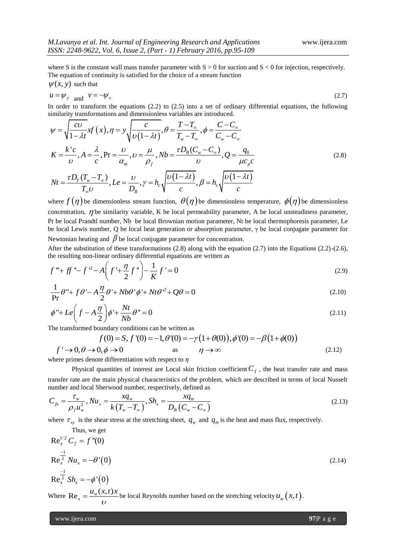where S is the constant wall mass transfer parameter with  $S > 0$  for suction and  $S < 0$  for injection, respectively. The equation of continuity is satisfied for the choice of a stream function  $\psi(x, y)$  such that

$$
u = \psi_{y} \quad \text{and} \quad v = -\psi_{x} \tag{2.7}
$$

similarity transformations and dimensionless variables are introduced.

In order to transform the equations (2.2) to (2.5) into a set of ordinary differential equations, the following  
similarity transformations and dimensionless variables are introduced.  

$$
\psi = \sqrt{\frac{c\upsilon}{1-\lambda t}} xf(x), \eta = y \sqrt{\frac{c}{\upsilon(1-\lambda t)}}, \theta = \frac{T-T_{\infty}}{T_{w}-T_{\infty}}, \phi = \frac{C-C_{\infty}}{C_{w}-C_{\infty}}
$$

$$
K = \frac{k^{2}c}{\upsilon}, A = \frac{\lambda}{c}, \Pr = \frac{\upsilon}{\alpha_{m}}, \upsilon = \frac{\mu}{\rho_{f}}, Nb = \frac{\tau D_{B}(C_{w}-C_{\infty})}{\upsilon}, Q = \frac{q_{0}}{\mu c_{p}c}
$$
(2.8)
$$
Nt = \frac{\tau D_{T}(T_{w}-T_{\infty})}{T_{\infty}\upsilon}, Le = \frac{\upsilon}{D_{B}}, \gamma = h_{c} \sqrt{\frac{\upsilon(1-\lambda t)}{c}}, \beta = h_{s} \sqrt{\frac{\upsilon(1-\lambda t)}{c}}
$$

where  $f(\eta)$  be dimensionless stream function,  $\theta(\eta)$  be dimensionless temperature,  $\phi(\eta)$  be dimensionless concentration,  $\eta$  be similarity variable, K be local permeability parameter, A be local unsteadiness parameter, Pr be local Prandtl number, Nb be local Brownian motion parameter, Nt be local thermophoresis parameter, Le be local Lewis number, Q be local heat generation or absorption parameter, γ be local conjugate parameter for Newtonian heating and  $\beta$  be local conjugate parameter for concentration.

After the substitution of these transformations  $(2.8)$  along with the equation  $(2.7)$  into the Equations  $(2.2)-(2.6)$ ,

the resulting non-linear ordinary differential equations are written as  
\n
$$
f''' + ff'' - f'^2 - A\left(f' + \frac{\eta}{2}f''\right) - \frac{1}{K}f' = 0
$$
\n(2.9)

$$
\left(\begin{array}{cc} 2^{\circ} & K \end{array}\right) K^{\circ}
$$
  
\n
$$
\frac{1}{\text{Pr}} \theta'' + f \theta' - A \frac{\eta}{2} \theta' + N b \theta' \phi' + N t \theta'^2 + Q \theta = 0
$$
 (2.10)

$$
\phi'' + Le\left(f - A\frac{\eta}{2}\right)\phi' + \frac{Nt}{Nb}\theta'' = 0
$$
\n
$$
\text{The transformed boundary conditions can be written as}
$$
\n
$$
f(0) = S, f'(0) = -1, \theta'(0) = -\gamma\left(1 + \theta(0)\right), \phi'(0) = -\beta\left(1 + \phi(0)\right)
$$
\n
$$
\text{where } \theta = 0 \text{ and } \theta = 0 \text{ and } \theta = 0 \text{ and } \theta = 0 \text{ and } \theta = 0 \text{ and } \theta = 0 \text{ and } \theta = 0 \text{ and } \theta = 0 \text{ and } \theta = 0 \text{ and } \theta = 0 \text{ and } \theta = 0 \text{ and } \theta = 0 \text{ and } \theta = 0 \text{ and } \theta = 0 \text{ and } \theta = 0 \text{ and } \theta = 0 \text{ and } \theta = 0 \text{ and } \theta = 0 \text{ and } \theta = 0 \text{ and } \theta = 0 \text{ and } \theta = 0 \text{ and } \theta = 0 \text{ and } \theta = 0 \text{ and } \theta = 0 \text{ and } \theta = 0 \text{ and } \theta = 0 \text{ and } \theta = 0 \text{ and } \theta = 0 \text{ and } \theta = 0 \text{ and } \theta = 0 \text{ and } \theta = 0 \text{ and } \theta = 0 \text{ and } \theta = 0 \text{ and } \theta = 0 \text{ and } \theta = 0 \text{ and } \theta = 0 \text{ and } \theta = 0 \text{ and } \theta = 0 \text{ and } \theta = 0 \text{ and } \theta = 0 \text{ and } \theta = 0 \text{ and } \theta = 0 \text{ and } \theta = 0 \text{ and } \theta = 0 \text{ and } \theta = 0 \text{ and } \theta = 0 \text{ and } \theta = 0 \text{ and } \theta = 0 \text{ and } \theta = 0 \text{ and } \theta = 0 \text{ and } \theta = 0 \text{ and } \theta = 0 \text{ and } \theta = 0 \text{ and } \theta = 0 \text{ and } \theta = 0 \text{ and } \theta = 0 \text{ and } \theta = 0 \text{ and } \theta = 0 \text{ and } \theta = 0 \text{ and } \theta = 0 \text{ and } \theta = 0 \text{ and } \theta = 0 \text{ and } \theta = 0
$$

The transformed boundary conditions can be written as

$$
f(0) = S, f'(0) = -1, \theta'(0) = -\gamma (1 + \theta(0)), \phi'(0) = -\beta (1 + \phi(0))
$$
  

$$
f' \to 0, \theta \to 0, \phi \to 0 \qquad \text{as} \qquad \eta \to \infty \tag{2.12}
$$

where primes denote differentiation with respect to  $\eta$ 

Physical quantities of interest are Local skin friction coefficient  $C_f$ , the heat transfer rate and mass transfer rate are the main physical characteristics of the problem, which are described in terms of local Nusselt

transfer rate are the main physical characteristics of the problem, which are described in terms of local Nusselt number and local Sherwood number, respectively, defined as\n
$$
C_{fx} = \frac{\tau_w}{\rho_f u_w^2}, Nu_x = \frac{xq_w}{k(T_w - T_\infty)}, Sh_x = \frac{xq_m}{D_B(C_w - C_\infty)}
$$
\n(2.13)

where  $\tau_{xy}$  is the shear stress at the stretching sheet,  $q_w$  and  $q_m$  is the heat and mass flux, respectively.

Thus, we get  
\n
$$
Re_x^{\frac{1}{2}} C_f = f''(0)
$$
\n
$$
Re_x^{\frac{-1}{2}} Nu_x = -\theta'(0)
$$
\n
$$
Re_x^{\frac{-1}{2}} Sh_x = -\phi'(0)
$$
\n(2.14)  
\nWhere  $Re_x = \frac{u_y(x, t)x}{\omega}$  be local Reynolds number based on the stretching velocity  $u_y(x, t)$ .

www.ijera.com **97**|P a g e

Thus, we get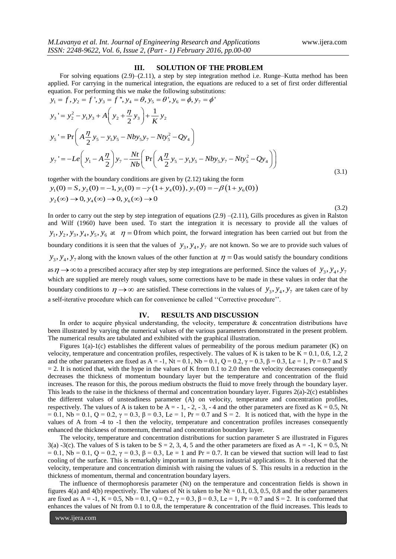(3.2)

#### **III. SOLUTION OF THE PROBLEM**

For solving equations (2.9)–(2.11), a step by step integration method i.e. Runge–Kutta method has been applied. For carrying in the numerical integration, the equations are reduced to a set of first order differential equation. For performing this we make the following substitutions: For solving equations (2.9)–(2.11), a step by step integrapplied. For carrying in the numerical integration, the equation<br>quation. For performing this we make the following substitution<br> $y_1 = f$ ,  $y_2 = f'$ ,  $y_3 = f''$ ,  $y_4 = \$ 2.11), a step by step integration methorical integration, the equations are redu<br>nake the following substitutions:<br> $\theta$ ,  $y_5 = \theta'$ ,  $y_6 = \phi$ ,  $y_7 = \phi'$ For solving equations (2.9)–(2.11), a step by step integration met<br>lied. For carrying in the numerical integration, the equations are reation. For performing this we make the following substitutions:<br>= f,  $y_2 = f'$ ,  $y_3 = f$ 

Input 1. For carrying in the numerical integration, the equations are reduced to a set of first order differential equation. For performing this we make the following substitutions:

\n
$$
y_1 = f, y_2 = f', y_3 = f'', y_4 = \theta, y_5 = \theta', y_6 = \phi, y_7 = \phi'
$$
\n
$$
y_3' = y_2^2 - y_1 y_3 + A \left( y_2 + \frac{\eta}{2} y_3 \right) + \frac{1}{K} y_2
$$
\n
$$
y_5' = \Pr \left( A \frac{\eta}{2} y_5 - y_1 y_5 - N b y_5 y_7 - N t y_5^2 - Q y_4 \right)
$$
\n
$$
y_7' = -L e \left( y_1 - A \frac{\eta}{2} \right) y_7 - \frac{N t}{N b} \left( \Pr \left( A \frac{\eta}{2} y_5 - y_1 y_5 - N b y_5 y_7 - N t y_5^2 - Q y_4 \right) \right)
$$
\n(3.1)

together with the boundary conditions are given by (2.12) taking the form gether with the boundary conditions are given by (2.12) taking the form<br>  $y_1(0) = S, y_2(0) = -1, y_5(0) = -\gamma (1 + y_4(0)), y_7(0) = -\beta (1 + y_6(0))$  $y_1(0) = S$ ,  $y_2(0) = -1$ ,  $y_5(0)$ <br> $y_2(\infty) \to 0$ ,  $y_4(\infty) \to 0$ ,  $y_6$ ether with the boundary conditions are<br>
(0) = S,  $y_2(0) = -1$ ,  $y_5(0) = -\gamma(1$ <br>
(∞) → 0,  $y_4(\infty)$  → 0,  $y_6(\infty)$  → 0 ggether with the boundary conditions are given by (2.12) taking the form<br>  $y_1(0) = S$ ,  $y_2(0) = -1$ ,  $y_5(0) = -\gamma (1 + y_4(0))$ ,  $y_7(0) = -\beta (1 + y_6(0))$ ther with the boundary conditions are given b<br>
(0) = S,  $y_2(0) = -1$ ,  $y_5(0) = -\gamma (1 + y_4(0))$ <br>  $\infty$ )  $\to 0$ ,  $y_4(\infty) \to 0$ ,  $y_6(\infty) \to 0$ 

In order to carry out the step by step integration of equations  $(2.9)$  – $(2.11)$ , Gills procedures as given in Ralston and Wilf (1960) have been used. To start the integration it is necessary to provide all the values of  $y_1, y_2, y_3, y_4, y_5, y_6$  at  $\eta = 0$  from which point, the forward integration has been carried out but from the boundary conditions it is seen that the values of  $y_3, y_4, y_7$  are not known. So we are to provide such values of  $y_3, y_4, y_7$  along with the known values of the other function at  $\eta = 0$  as would satisfy the boundary conditions as  $\eta \to \infty$  to a prescribed accuracy after step by step integrations are performed. Since the values of  $y_3, y_4, y_7$ which are supplied are merely rough values, some corrections have to be made in these values in order that the boundary conditions to  $\eta \rightarrow \infty$  are satisfied. These corrections in the values of  $y_3, y_4, y_7$  are taken care of by a self-iterative procedure which can for convenience be called ''Corrective procedure''.

#### **IV. RESULTS AND DISCUSSION**

In order to acquire physical understanding, the velocity, temperature & concentration distributions have been illustrated by varying the numerical values of the various parameters demonstrated in the present problem. The numerical results are tabulated and exhibited with the graphical illustration.

Figures 1(a)-1(c) establishes the different values of permeability of the porous medium parameter (K) on velocity, temperature and concentration profiles, respectively. The values of K is taken to be  $K = 0.1, 0.6, 1.2, 2$ and the other parameters are fixed as A = -1, Nt = 0.1, Nb = 0.1, Q = 0.2,  $\gamma$  = 0.3,  $\beta$  = 0.3, Le = 1, Pr = 0.7 and S  $= 2$ . It is noticed that, with the hype in the values of K from 0.1 to 2.0 then the velocity decreases consequently decreases the thickness of momentum boundary layer but the temperature and concentration of the fluid increases. The reason for this, the porous medium obstructs the fluid to move freely through the boundary layer. This leads to the raise in the thickness of thermal and concentration boundary layer. Figures 2(a)-2(c) establishes the different values of unsteadiness parameter (A) on velocɨty, temperature and concentration profiles, respectively. The values of A is taken to be  $A = -1, -2, -3, -4$  and the other parameters are fixed as  $K = 0.5$ , Nt = 0.1, Nb = 0.1, Q = 0.2,  $\gamma$  = 0.3,  $\beta$  = 0.3, Le = 1, Pr = 0.7 and S = 2. It is noticed that, with the hype in the values of A from -4 to -1 then the velocity, temperature and concentration profiles increases consequently enhanced the thickness of momentum, thermal and concentration boundary layer.

The velocɨty, temperature and concentration distributions for suction parameter S are illustrated in Figures 3(a) -3(c). The values of S is taken to be  $S = 2, 3, 4, 5$  and the other parameters are fixed as  $A = -1$ ,  $K = 0.5$ , Nt = 0.1, Nb = 0.1, Q = 0.2,  $\gamma$  = 0.3,  $\beta$  = 0.3, Le = 1 and Pr = 0.7. It can be viewed that suction will lead to fast cooling of the surface. This is remarkably important in numerous industrial applications. It is observed that the velocity, temperature and concentration diminish with raising the values of S. This results in a reduction in the thickness of momentum, thermal and concentration boundary layers.

The influence of thermophoresis parameter (Nt) on the temperature and concentration fields is shown in figures 4(a) and 4(b) respectively. The values of Nt is taken to be Nt =  $0.1, 0.3, 0.5, 0.8$  and the other parameters are fixed as A = -1, K = 0.5, Nb = 0.1, Q = 0.2,  $\gamma$  = 0.3,  $\beta$  = 0.3, Le = 1, Pr = 0.7 and S = 2. It is conformed that enhances the values of Nt from 0.1 to 0.8, the temperature & concentration of the fluid increases. This leads to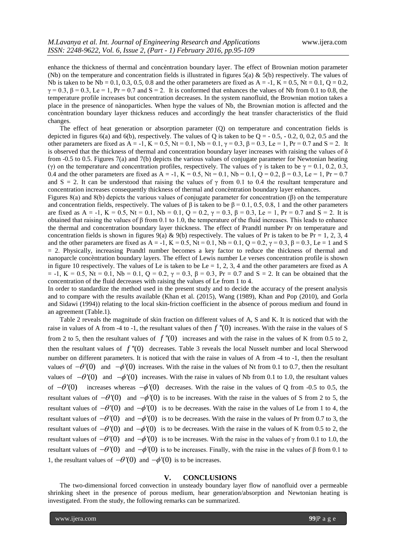enhance the thickness of thermal and concèntration boundary layer. The effect of Brownian motion parameter (Nb) on the temperature and concentration fields is illustrated in figures  $5(a) \& 5(b)$  respectively. The values of Nb is taken to be Nb = 0.1, 0.3, 0.5, 0.8 and the other parameters are fixed as  $A = -1$ ,  $K = 0.5$ ,  $Nt = 0.1$ ,  $Q = 0.2$ ,  $\gamma = 0.3$ ,  $\beta = 0.3$ , Le = 1, Pr = 0.7 and S = 2. It is conformed that enhances the values of Nb from 0.1 to 0.8, the temperature profile increases but concentration decreases. In the system nanofluid, the Brownian motion takes a place in the presence of nànoparticles. When hype the values of Nb, the Brownian motion is affected and the concèntration boundary layer thickness reduces and accordingly the heat transfer characteristics of the fluid changes.

The effect of heat generation or absorption parameter (Q) on temperature and concentration fields is depicted in figures  $6(a)$  and  $6(b)$ , respectively. The values of Q is taken to be Q =  $-0.5, -0.2, 0, 0.2, 0.5$  and the other parameters are fixed as  $A = -1$ ,  $K = 0.5$ ,  $Nt = 0.1$ ,  $Nb = 0.1$ ,  $\gamma = 0.3$ ,  $\beta = 0.3$ ,  $Le = 1$ ,  $Pr = 0.7$  and  $S = 2$ . It is observed that the thickness of thermal and concentration boundary layer increases with raising the values of  $\delta$ from -0.5 to 0.5. Figures 7(a) and 7(b) depicts the various values of conjugate parameter for Newtonian heating (γ) on the temperature and concentration profiles, respectively. The values of γ is taken to be  $\gamma = 0.1, 0.2, 0.3$ , 0.4 and the other parameters are fixed as  $A = -1$ ,  $K = 0.5$ ,  $Nt = 0.1$ ,  $Nb = 0.1$ ,  $Q = 0.2$ ,  $\beta = 0.3$ ,  $Le = 1$ ,  $Pr = 0.7$ and S = 2. It can be understood that raising the values of  $\gamma$  from 0.1 to 0.4 the resultant temperature and concentration increases consequently thickness of thermal and concèntration boundary layer enhances.

Figures 8(a) and 8(b) depicts the various values of conjugate parameter for concentration (β) on the temperature and concentration fields, respectively. The values of  $\beta$  is taken to be  $\beta = 0.1, 0.5, 0.8, 1$  and the other parameters are fixed as  $A = -1$ ,  $K = 0.5$ ,  $Nt = 0.1$ ,  $Nb = 0.1$ ,  $Q = 0.2$ ,  $\gamma = 0.3$ ,  $\beta = 0.3$ ,  $Le = 1$ ,  $Pr = 0.7$  and  $S = 2$ . It is obtained that raising the values of β from 0.1 to 1.0, the temperature of the fluid increases. This leads to enhance the thermal and concentration boundary layer thickness. The effect of Prandtl number Pr on temperature and concentration fields is shown in figures 9(a) & 9(b) respectively. The values of Pr is taken to be Pr = 1, 2, 3, 4 and the other parameters are fixed as A = -1, K = 0.5, Nt = 0.1, Nb = 0.1, Q = 0.2,  $\gamma$  = 0.3,  $\beta$  = 0.3, Le = 1 and S = 2. Physically, increasing Prandtl number becomes a key factor to reduce the thickness of thermal and nanoparcle concèntration boundary layers. The effect of Lewis number Le verses concentration profile is shown in figure 10 respectively. The values of Le is taken to be Le = 1, 2, 3, 4 and the other parameters are fixed as A  $= -1$ ,  $K = 0.5$ , Nt = 0.1, Nb = 0.1, O = 0.2,  $\gamma = 0.3$ ,  $\beta = 0.3$ , Pr = 0.7 and S = 2. It can be obtained that the concentration of the fluid decreases with raising the values of Le from 1 to 4.

In order to standardize the method used in the present study and to decide the accuracy of the present analysis and to compare with the results available (Khan et al. (2015), Wang (1989), Khan and Pop (2010), and Gorla and Sidawi (1994)) relating to the local skin-friction coefficient in the absence of porous medium and found in an agreement (Table.1).

Table 2 reveals the magnitude of skin fraction on different values of A, S and K. It is noticed that with the raise in values of A from -4 to -1, the resultant values of then  $f''(0)$  increases. With the raise in the values of S from 2 to 5, then the resultant values of  $f''(0)$  increases and with the raise in the values of K from 0.5 to 2, then the resultant values of  $f''(0)$  decreases. Table 3 reveals the local Nusselt number and local Sherwood number on different parameters. It is noticed that with the raise in values of A from -4 to -1, then the resultant values of  $-\theta'(0)$  and  $-\phi'(0)$  increases. With the raise in the values of Nt from 0.1 to 0.7, then the resultant values of  $-\theta'(0)$  and  $-\phi'(0)$  increases. With the raise in values of Nb from 0.1 to 1.0, the resultant values of  $-\theta'(0)$  increases whereas  $-\phi'(0)$  decreases. With the raise in the values of Q from -0.5 to 0.5, the resultant values of  $-\theta'(0)$  and  $-\phi'(0)$  is to be increases. With the raise in the values of S from 2 to 5, the resultant values of  $-\theta'(0)$  and  $-\phi'(0)$  is to be decreases. With the raise in the values of Le from 1 to 4, the resultant values of  $-\theta'(0)$  and  $-\phi'(0)$  is to be decreases. With the raise in the values of Pr from 0.7 to 3, the resultant values of  $-\theta'(0)$  and  $-\phi'(0)$  is to be decreases. With the raise in the values of K from 0.5 to 2, the resultant values of  $-\theta'(0)$  and  $-\phi'(0)$  is to be increases. With the raise in the values of  $\gamma$  from 0.1 to 1.0, the resultant values of  $-\theta'(0)$  and  $-\phi'(0)$  is to be increases. Finally, with the raise in the values of  $\beta$  from 0.1 to 1, the resultant values of  $-\theta'(0)$  and  $-\phi'(0)$  is to be increases.

#### **V. CONCLUSIONS**

The two-dimensional forced convection in unsteady boundary layer flow of nanofluid over a permeable shrinking sheet in the presence of porous medium, hear generation/absorption and Newtonian heating is investigated. From the study, the following remarks can be summarized.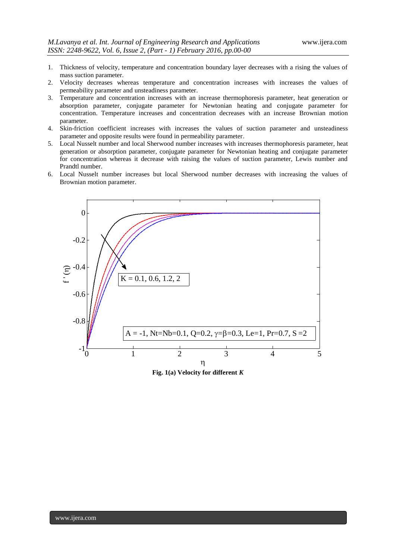- 1. Thickness of velocity, temperature and concentration boundary layer decreases with a rising the values of mass suction parameter.
- 2. Velocity decreases whereas temperature and concentration increases with increases the values of permeability parameter and unsteadiness parameter.
- 3. Temperature and concentration increases with an increase thermophoresis parameter, heat generation or absorption parameter, conjugate parameter for Newtonian heating and conjugate parameter for concentration. Temperature increases and concentration decreases with an increase Brownian motion parameter.
- 4. Skin-friction coefficient increases with increases the values of suction parameter and unsteadiness parameter and opposite results were found in permeability parameter.
- 5. Local Nusselt number and local Sherwood number increases with increases thermophoresis parameter, heat generation or absorption parameter, conjugate parameter for Newtonian heating and conjugate parameter for concentration whereas it decrease with raising the values of suction parameter, Lewis number and Prandtl number.
- 6. Local Nusselt number increases but local Sherwood number decreases with increasing the values of Brownian motion parameter.



**Fig. 1(a) Velocity for different** *K*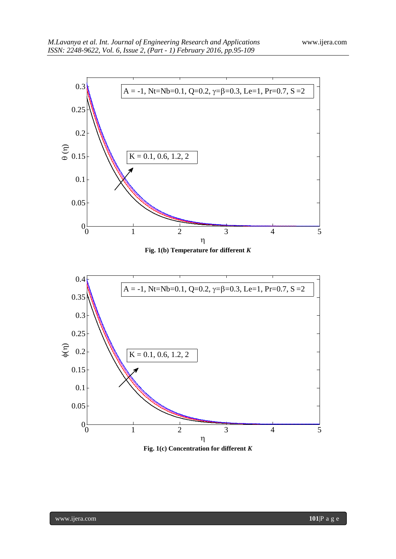

**Fig. 1(c) Concentration for different** *K*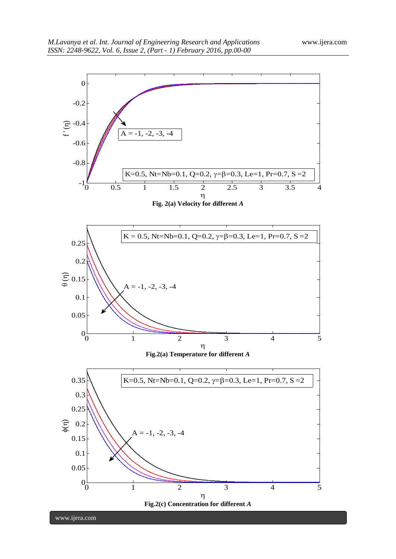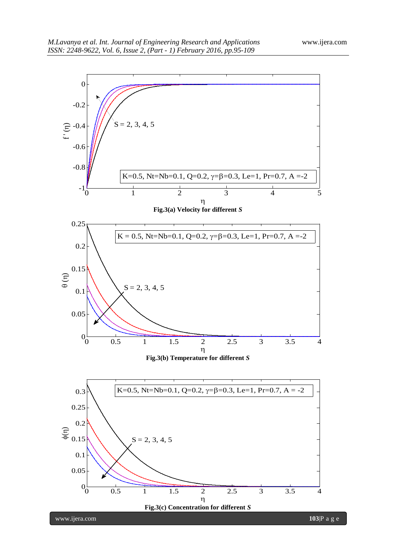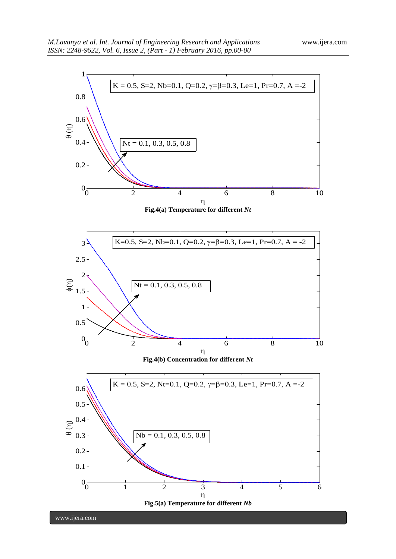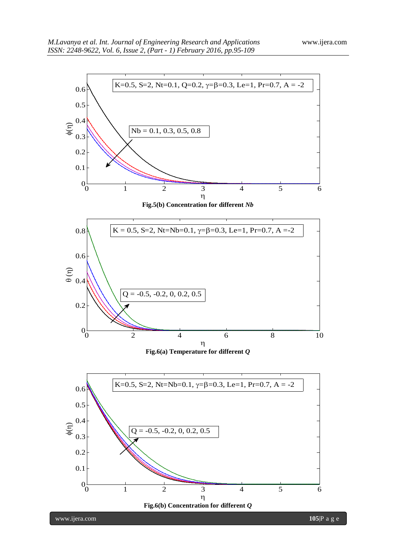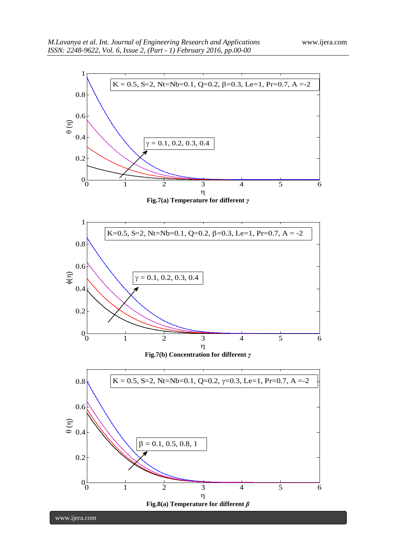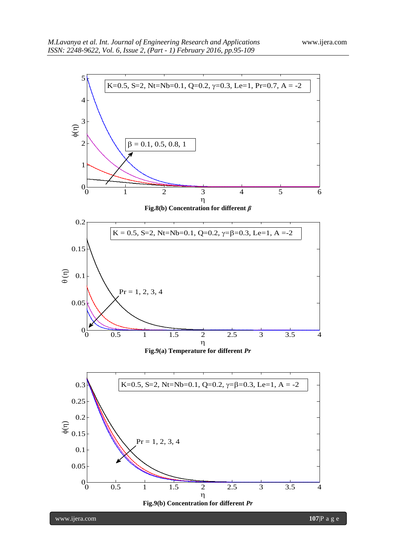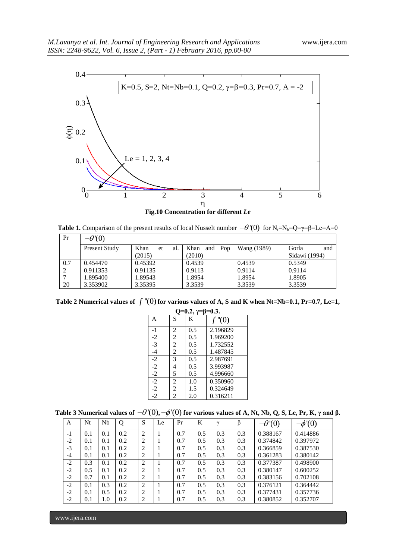

**Table 1.** Comparison of the present results of local Nusselt number  $-\theta'(0)$  for N<sub>t</sub>=N<sub>b</sub>=Q= $\gamma=\beta$ =Le=A=0

| Pr  | $-\theta$ '(0) |                   |                    |             |               |
|-----|----------------|-------------------|--------------------|-------------|---------------|
|     | Present Study  | Khan<br>al.<br>et | Khan<br>Pop<br>and | Wang (1989) | Gorla<br>and  |
|     |                | (2015)            | (2010)             |             | Sidawi (1994) |
| 0.7 | 0.454470       | 0.45392           | 0.4539             | 0.4539      | 0.5349        |
|     | 0.911353       | 0.91135           | 0.9113             | 0.9114      | 0.9114        |
|     | 1.895400       | 1.89543           | 1.8954             | 1.8954      | 1.8905        |
| 20  | 3.353902       | 3.35395           | 3.3539             | 3.3539      | 3.3539        |

Table 2 Numerical values of  $f''(0)$  for various values of A, S and K when Nt=Nb=0.1, Pr=0.7, Le=1,

| $Q=0.2, \gamma=\beta=0.3.$ |                |     |          |  |  |  |  |  |
|----------------------------|----------------|-----|----------|--|--|--|--|--|
| A                          | S              | K   | f''(0)   |  |  |  |  |  |
| $-1$                       | $\overline{c}$ | 0.5 | 2.196829 |  |  |  |  |  |
| $-2$                       | $\overline{2}$ | 0.5 | 1.969200 |  |  |  |  |  |
| $-3$                       | $\overline{c}$ | 0.5 | 1.732552 |  |  |  |  |  |
| $-4$                       | 2              | 0.5 | 1.487845 |  |  |  |  |  |
| $-2$                       | $\mathcal{R}$  | 0.5 | 2.987691 |  |  |  |  |  |
| $-2$                       | 4              | 0.5 | 3.993987 |  |  |  |  |  |
| $-2$                       | 5              | 0.5 | 4.996660 |  |  |  |  |  |
| $-2$                       | $\overline{2}$ | 1.0 | 0.350960 |  |  |  |  |  |
| $-2$                       | 2              | 1.5 | 0.324649 |  |  |  |  |  |
| $-2$                       | 2              | 2.0 | 0.316211 |  |  |  |  |  |

| Table 3 Numerical values of $-\theta'(0), -\phi'(0)$ for various values of A, Nt, Nb, Q, S, Le, Pr, K, $\gamma$ and $\beta$ . |  |  |  |  |  |
|-------------------------------------------------------------------------------------------------------------------------------|--|--|--|--|--|
|-------------------------------------------------------------------------------------------------------------------------------|--|--|--|--|--|

| A    | Nt  | Nb  | Q   | S              | Le | Pr  | K   | $\gamma$ | β   | $-\theta(0)$ | $-\phi'(0)$ |
|------|-----|-----|-----|----------------|----|-----|-----|----------|-----|--------------|-------------|
| $-1$ | 0.1 | 0.1 | 0.2 | $\overline{2}$ |    | 0.7 | 0.5 | 0.3      | 0.3 | 0.388167     | 0.414886    |
| $-2$ | 0.1 | 0.1 | 0.2 | $\overline{2}$ |    | 0.7 | 0.5 | 0.3      | 0.3 | 0.374842     | 0.397972    |
| $-3$ | 0.1 | 0.1 | 0.2 | 2              |    | 0.7 | 0.5 | 0.3      | 0.3 | 0.366859     | 0.387530    |
| $-4$ | 0.1 | 0.1 | 0.2 | $\overline{2}$ |    | 0.7 | 0.5 | 0.3      | 0.3 | 0.361283     | 0.380142    |
| $-2$ | 0.3 | 0.1 | 0.2 | 2              |    | 0.7 | 0.5 | 0.3      | 0.3 | 0.377387     | 0.498900    |
| $-2$ | 0.5 | 0.1 | 0.2 | 2              |    | 0.7 | 0.5 | 0.3      | 0.3 | 0.380147     | 0.600252    |
| $-2$ | 0.7 | 0.1 | 0.2 | $\overline{2}$ |    | 0.7 | 0.5 | 0.3      | 0.3 | 0.383156     | 0.702108    |
| $-2$ | 0.1 | 0.3 | 0.2 | $\overline{2}$ |    | 0.7 | 0.5 | 0.3      | 0.3 | 0.376121     | 0.364442    |
| $-2$ | 0.1 | 0.5 | 0.2 | $\overline{2}$ |    | 0.7 | 0.5 | 0.3      | 0.3 | 0.377431     | 0.357736    |
| $-2$ | 0.1 | 1.0 | 0.2 | 2              |    | 0.7 | 0.5 | 0.3      | 0.3 | 0.380852     | 0.352707    |